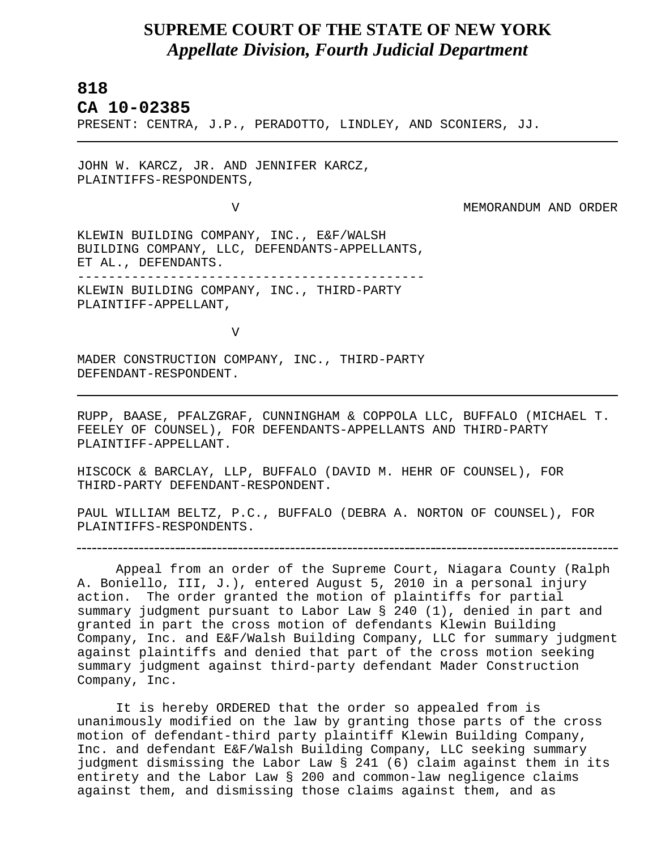## **SUPREME COURT OF THE STATE OF NEW YORK** *Appellate Division, Fourth Judicial Department*

## **818**

L

## **CA 10-02385**

PRESENT: CENTRA, J.P., PERADOTTO, LINDLEY, AND SCONIERS, JJ.

JOHN W. KARCZ, JR. AND JENNIFER KARCZ, PLAINTIFFS-RESPONDENTS,

V MEMORANDUM AND ORDER

KLEWIN BUILDING COMPANY, INC., E&F/WALSH BUILDING COMPANY, LLC, DEFENDANTS-APPELLANTS, ET AL., DEFENDANTS. --------------------------------------------- KLEWIN BUILDING COMPANY, INC., THIRD-PARTY PLAINTIFF-APPELLANT,

V

MADER CONSTRUCTION COMPANY, INC., THIRD-PARTY DEFENDANT-RESPONDENT.

RUPP, BAASE, PFALZGRAF, CUNNINGHAM & COPPOLA LLC, BUFFALO (MICHAEL T. FEELEY OF COUNSEL), FOR DEFENDANTS-APPELLANTS AND THIRD-PARTY PLAINTIFF-APPELLANT.

HISCOCK & BARCLAY, LLP, BUFFALO (DAVID M. HEHR OF COUNSEL), FOR THIRD-PARTY DEFENDANT-RESPONDENT.

PAUL WILLIAM BELTZ, P.C., BUFFALO (DEBRA A. NORTON OF COUNSEL), FOR PLAINTIFFS-RESPONDENTS.

Appeal from an order of the Supreme Court, Niagara County (Ralph A. Boniello, III, J.), entered August 5, 2010 in a personal injury action. The order granted the motion of plaintiffs for partial summary judgment pursuant to Labor Law § 240 (1), denied in part and granted in part the cross motion of defendants Klewin Building Company, Inc. and E&F/Walsh Building Company, LLC for summary judgment against plaintiffs and denied that part of the cross motion seeking summary judgment against third-party defendant Mader Construction Company, Inc.

It is hereby ORDERED that the order so appealed from is unanimously modified on the law by granting those parts of the cross motion of defendant-third party plaintiff Klewin Building Company, Inc. and defendant E&F/Walsh Building Company, LLC seeking summary judgment dismissing the Labor Law § 241 (6) claim against them in its entirety and the Labor Law § 200 and common-law negligence claims against them, and dismissing those claims against them, and as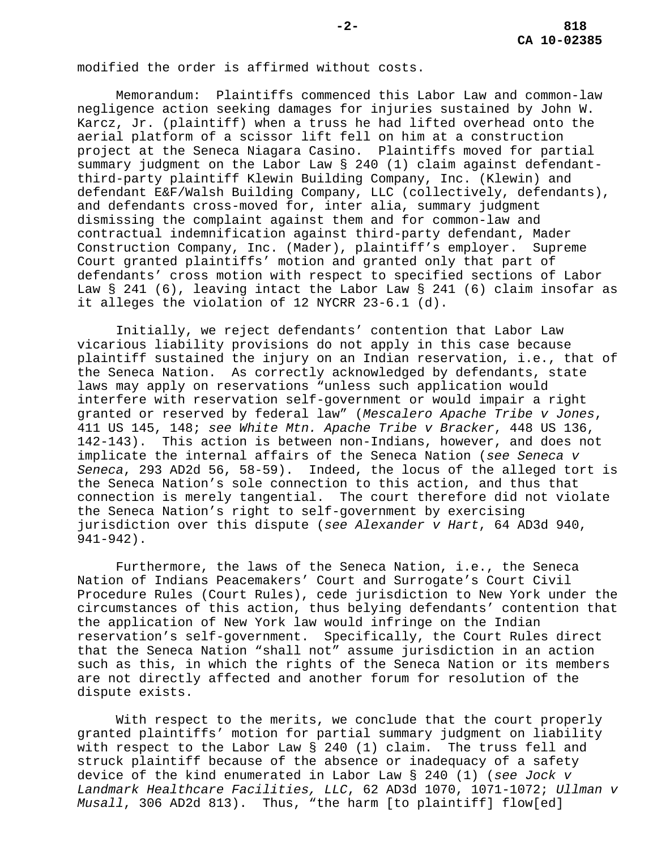modified the order is affirmed without costs.

Memorandum: Plaintiffs commenced this Labor Law and common-law negligence action seeking damages for injuries sustained by John W. Karcz, Jr. (plaintiff) when a truss he had lifted overhead onto the aerial platform of a scissor lift fell on him at a construction project at the Seneca Niagara Casino. Plaintiffs moved for partial summary judgment on the Labor Law § 240 (1) claim against defendantthird-party plaintiff Klewin Building Company, Inc. (Klewin) and defendant E&F/Walsh Building Company, LLC (collectively, defendants), and defendants cross-moved for, inter alia, summary judgment dismissing the complaint against them and for common-law and contractual indemnification against third-party defendant, Mader Construction Company, Inc. (Mader), plaintiff's employer. Supreme Court granted plaintiffs' motion and granted only that part of defendants' cross motion with respect to specified sections of Labor Law § 241 (6), leaving intact the Labor Law § 241 (6) claim insofar as it alleges the violation of 12 NYCRR 23-6.1 (d).

Initially, we reject defendants' contention that Labor Law vicarious liability provisions do not apply in this case because plaintiff sustained the injury on an Indian reservation, i.e., that of the Seneca Nation. As correctly acknowledged by defendants, state laws may apply on reservations "unless such application would interfere with reservation self-government or would impair a right granted or reserved by federal law" (*Mescalero Apache Tribe v Jones*, 411 US 145, 148; *see White Mtn. Apache Tribe v Bracker*, 448 US 136, 142-143). This action is between non-Indians, however, and does not implicate the internal affairs of the Seneca Nation (*see Seneca v Seneca*, 293 AD2d 56, 58-59). Indeed, the locus of the alleged tort is the Seneca Nation's sole connection to this action, and thus that connection is merely tangential. The court therefore did not violate the Seneca Nation's right to self-government by exercising jurisdiction over this dispute (*see Alexander v Hart*, 64 AD3d 940, 941-942).

Furthermore, the laws of the Seneca Nation, i.e., the Seneca Nation of Indians Peacemakers' Court and Surrogate's Court Civil Procedure Rules (Court Rules), cede jurisdiction to New York under the circumstances of this action, thus belying defendants' contention that the application of New York law would infringe on the Indian reservation's self-government. Specifically, the Court Rules direct that the Seneca Nation "shall not" assume jurisdiction in an action such as this, in which the rights of the Seneca Nation or its members are not directly affected and another forum for resolution of the dispute exists.

With respect to the merits, we conclude that the court properly granted plaintiffs' motion for partial summary judgment on liability with respect to the Labor Law § 240 (1) claim. The truss fell and struck plaintiff because of the absence or inadequacy of a safety device of the kind enumerated in Labor Law § 240 (1) (*see Jock v Landmark Healthcare Facilities, LLC*, 62 AD3d 1070, 1071-1072; *Ullman v Musall*, 306 AD2d 813). Thus, "the harm [to plaintiff] flow[ed]